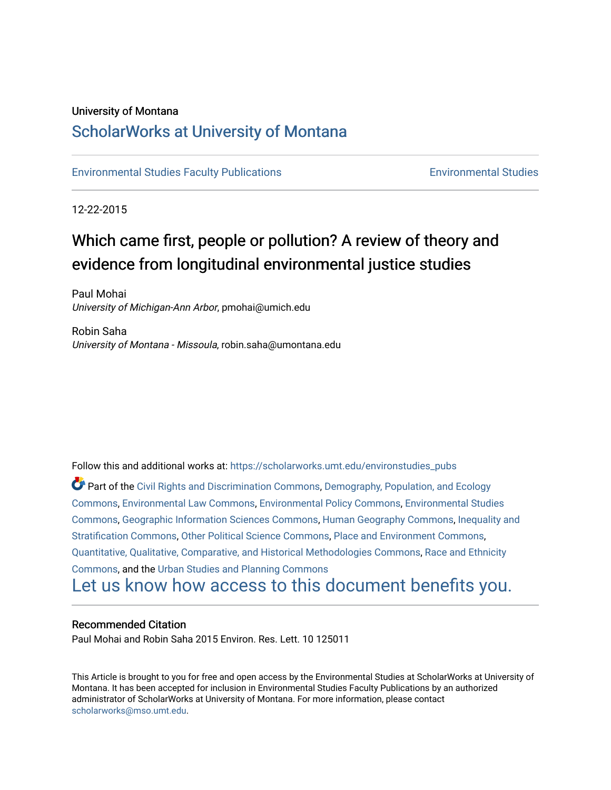## University of Montana

# [ScholarWorks at University of Montana](https://scholarworks.umt.edu/)

[Environmental Studies Faculty Publications](https://scholarworks.umt.edu/environstudies_pubs) [Environmental Studies](https://scholarworks.umt.edu/environstudies) 

12-22-2015

# Which came first, people or pollution? A review of theory and evidence from longitudinal environmental justice studies

Paul Mohai University of Michigan-Ann Arbor, pmohai@umich.edu

Robin Saha University of Montana - Missoula, robin.saha@umontana.edu

Follow this and additional works at: [https://scholarworks.umt.edu/environstudies\\_pubs](https://scholarworks.umt.edu/environstudies_pubs?utm_source=scholarworks.umt.edu%2Fenvironstudies_pubs%2F8&utm_medium=PDF&utm_campaign=PDFCoverPages) 

Part of the [Civil Rights and Discrimination Commons,](http://network.bepress.com/hgg/discipline/585?utm_source=scholarworks.umt.edu%2Fenvironstudies_pubs%2F8&utm_medium=PDF&utm_campaign=PDFCoverPages) [Demography, Population, and Ecology](http://network.bepress.com/hgg/discipline/418?utm_source=scholarworks.umt.edu%2Fenvironstudies_pubs%2F8&utm_medium=PDF&utm_campaign=PDFCoverPages)  [Commons](http://network.bepress.com/hgg/discipline/418?utm_source=scholarworks.umt.edu%2Fenvironstudies_pubs%2F8&utm_medium=PDF&utm_campaign=PDFCoverPages), [Environmental Law Commons,](http://network.bepress.com/hgg/discipline/599?utm_source=scholarworks.umt.edu%2Fenvironstudies_pubs%2F8&utm_medium=PDF&utm_campaign=PDFCoverPages) [Environmental Policy Commons,](http://network.bepress.com/hgg/discipline/1027?utm_source=scholarworks.umt.edu%2Fenvironstudies_pubs%2F8&utm_medium=PDF&utm_campaign=PDFCoverPages) [Environmental Studies](http://network.bepress.com/hgg/discipline/1333?utm_source=scholarworks.umt.edu%2Fenvironstudies_pubs%2F8&utm_medium=PDF&utm_campaign=PDFCoverPages) [Commons](http://network.bepress.com/hgg/discipline/1333?utm_source=scholarworks.umt.edu%2Fenvironstudies_pubs%2F8&utm_medium=PDF&utm_campaign=PDFCoverPages), [Geographic Information Sciences Commons,](http://network.bepress.com/hgg/discipline/358?utm_source=scholarworks.umt.edu%2Fenvironstudies_pubs%2F8&utm_medium=PDF&utm_campaign=PDFCoverPages) [Human Geography Commons,](http://network.bepress.com/hgg/discipline/356?utm_source=scholarworks.umt.edu%2Fenvironstudies_pubs%2F8&utm_medium=PDF&utm_campaign=PDFCoverPages) [Inequality and](http://network.bepress.com/hgg/discipline/421?utm_source=scholarworks.umt.edu%2Fenvironstudies_pubs%2F8&utm_medium=PDF&utm_campaign=PDFCoverPages) [Stratification Commons](http://network.bepress.com/hgg/discipline/421?utm_source=scholarworks.umt.edu%2Fenvironstudies_pubs%2F8&utm_medium=PDF&utm_campaign=PDFCoverPages), [Other Political Science Commons](http://network.bepress.com/hgg/discipline/392?utm_source=scholarworks.umt.edu%2Fenvironstudies_pubs%2F8&utm_medium=PDF&utm_campaign=PDFCoverPages), [Place and Environment Commons](http://network.bepress.com/hgg/discipline/424?utm_source=scholarworks.umt.edu%2Fenvironstudies_pubs%2F8&utm_medium=PDF&utm_campaign=PDFCoverPages), [Quantitative, Qualitative, Comparative, and Historical Methodologies Commons,](http://network.bepress.com/hgg/discipline/423?utm_source=scholarworks.umt.edu%2Fenvironstudies_pubs%2F8&utm_medium=PDF&utm_campaign=PDFCoverPages) [Race and Ethnicity](http://network.bepress.com/hgg/discipline/426?utm_source=scholarworks.umt.edu%2Fenvironstudies_pubs%2F8&utm_medium=PDF&utm_campaign=PDFCoverPages)  [Commons](http://network.bepress.com/hgg/discipline/426?utm_source=scholarworks.umt.edu%2Fenvironstudies_pubs%2F8&utm_medium=PDF&utm_campaign=PDFCoverPages), and the [Urban Studies and Planning Commons](http://network.bepress.com/hgg/discipline/436?utm_source=scholarworks.umt.edu%2Fenvironstudies_pubs%2F8&utm_medium=PDF&utm_campaign=PDFCoverPages)

[Let us know how access to this document benefits you.](https://goo.gl/forms/s2rGfXOLzz71qgsB2) 

# Recommended Citation

Paul Mohai and Robin Saha 2015 Environ. Res. Lett. 10 125011

This Article is brought to you for free and open access by the Environmental Studies at ScholarWorks at University of Montana. It has been accepted for inclusion in Environmental Studies Faculty Publications by an authorized administrator of ScholarWorks at University of Montana. For more information, please contact [scholarworks@mso.umt.edu.](mailto:scholarworks@mso.umt.edu)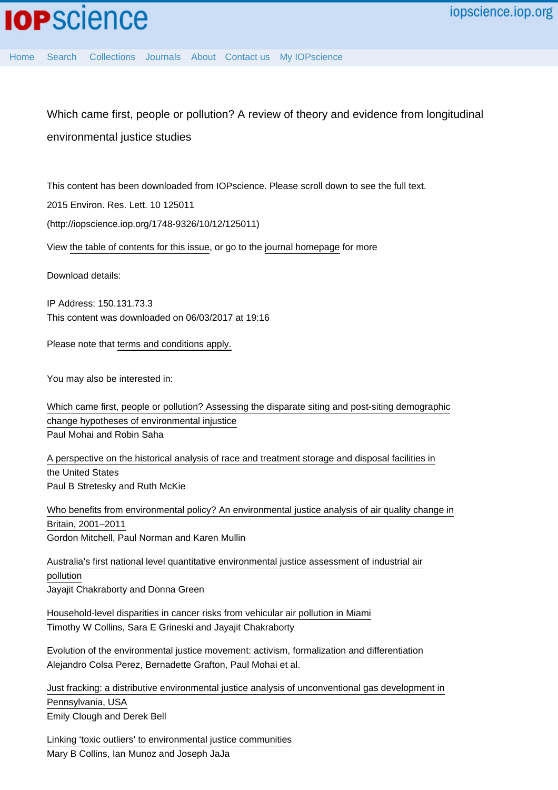[Home](http://iopscience.iop.org/) [Search](http://iopscience.iop.org/search) [Collections](http://iopscience.iop.org/collections) [Journals](http://iopscience.iop.org/journals) [About](http://iopscience.iop.org/page/aboutioppublishing) [Contact us](http://iopscience.iop.org/contact) [My IOPscience](http://iopscience.iop.org/myiopscience)

Which came first, people or pollution? A review of theory and evidence from longitudinal environmental justice studies

This content has been downloaded from IOPscience. Please scroll down to see the full text.

2015 Environ. Res. Lett. 10 125011

(http://iopscience.iop.org/1748-9326/10/12/125011)

View [the table of contents for this issue](http://iopscience.iop.org/1748-9326/10/12), or go to the [journal homepage](http://iopscience.iop.org/1748-9326) for more

Download details:

IP Address: 150.131.73.3 This content was downloaded on 06/03/2017 at 19:16

Please note that [terms and conditions apply.](http://iopscience.iop.org/page/terms)

You may also be interested in:

[Which came first, people or pollution? Assessing the disparate siting and post-siting demographic](http://iopscience.iop.org/article/10.1088/1748-9326/10/11/115008) [change hypotheses of environmental injustice](http://iopscience.iop.org/article/10.1088/1748-9326/10/11/115008) Paul Mohai and Robin Saha

[A perspective on the historical analysis of race and treatment storage and disposal facilities in](http://iopscience.iop.org/article/10.1088/1748-9326/11/3/031001) [the United States](http://iopscience.iop.org/article/10.1088/1748-9326/11/3/031001) Paul B Stretesky and Ruth McKie

[Who benefits from environmental policy? An environmental justice analysis of air quality change in](http://iopscience.iop.org/article/10.1088/1748-9326/10/10/105009) [Britain, 2001–2011](http://iopscience.iop.org/article/10.1088/1748-9326/10/10/105009) Gordon Mitchell, Paul Norman and Karen Mullin

[Australia's first national level quantitative environmental justice assessment of industrial air](http://iopscience.iop.org/article/10.1088/1748-9326/9/4/044010) [pollution](http://iopscience.iop.org/article/10.1088/1748-9326/9/4/044010) Jayajit Chakraborty and Donna Green

[Household-level disparities in cancer risks from vehicular air pollution in Miami](http://iopscience.iop.org/article/10.1088/1748-9326/10/9/095008) Timothy W Collins, Sara E Grineski and Jayajit Chakraborty

[Evolution of the environmental justice movement: activism, formalization and differentiation](http://iopscience.iop.org/article/10.1088/1748-9326/10/10/105002) Alejandro Colsa Perez, Bernadette Grafton, Paul Mohai et al.

[Just fracking: a distributive environmental justice analysis of unconventional gas development in](http://iopscience.iop.org/article/10.1088/1748-9326/11/2/025001) [Pennsylvania, USA](http://iopscience.iop.org/article/10.1088/1748-9326/11/2/025001) Emily Clough and Derek Bell

[Linking 'toxic outliers' to environmental justice communities](http://iopscience.iop.org/article/10.1088/1748-9326/11/1/015004) Mary B Collins, Ian Munoz and Joseph JaJa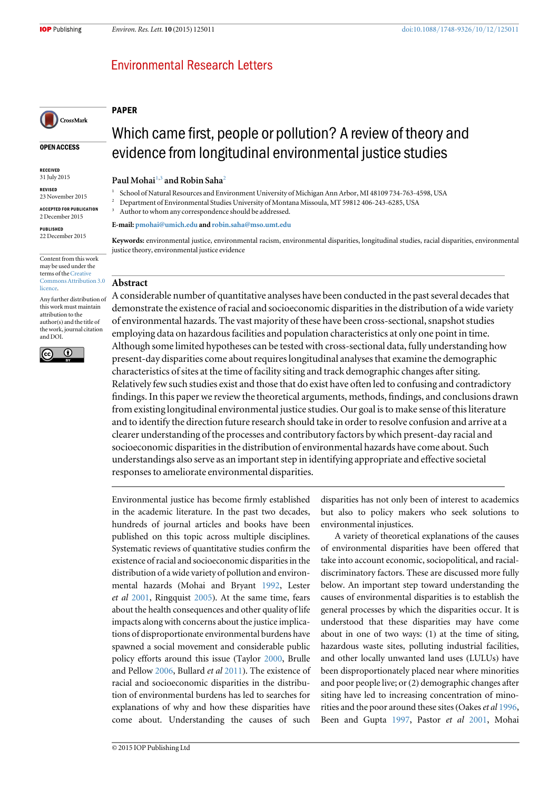# **Environmental Research Letters**

#### PAPER

OPEN ACCESS

CrossMark

RECEIVED 31 July 2015

REVISED

23 November 2015

ACCEPTED FOR PUBLICATION 2 December 2015

PUBLISHED 22 December 2015

Content from this work may be used under the terms of the [Creative](http://creativecommons.org/licenses/by/3.0) [Commons Attribution 3.0](http://creativecommons.org/licenses/by/3.0) [licence.](http://creativecommons.org/licenses/by/3.0)

Any further distribution of this work must maintain attribution to the author(s) and the title of the work, journal citation and DOI.



Which came first, people or pollution? A review of theory and evidence from longitudinal environmental justice studies

Paul Mohai<sup>[1](#page-2-0)[,3](#page-2-1)</sup> and Robin Saha<sup>[2](#page-2-2)</sup>

<span id="page-2-0"></span><sup>1</sup> School of Natural Resources and Environment University of Michigan Ann Arbor, MI 48109 734-763-4598, USA<br><sup>2</sup> Department of Environmental Studies University of Montana Misequla, MT 50912,406,243,6295, USA

<span id="page-2-2"></span><sup>2</sup> Department of Environmental Studies University of Montana Missoula, MT 59812 406-243-6285, USA<br><sup>3</sup> Author to whom any correspondence should be addressed

<span id="page-2-1"></span>Author to whom any correspondence should be addressed.

E-mail: [pmohai@umich.edu](mailto:pmohai@umich.edu) and [robin.saha@mso.umt.edu](mailto:robin.saha@mso.umt.edu)

Keywords: environmental justice, environmental racism, environmental disparities, longitudinal studies, racial disparities, environmental justice theory, environmental justice evidence

#### Abstract

A considerable number of quantitative analyses have been conducted in the past several decades that demonstrate the existence of racial and socioeconomic disparities in the distribution of a wide variety of environmental hazards. The vast majority of these have been cross-sectional, snapshot studies employing data on hazardous facilities and population characteristics at only one point in time. Although some limited hypotheses can be tested with cross-sectional data, fully understanding how present-day disparities come about requires longitudinal analyses that examine the demographic characteristics of sites at the time of facility siting and track demographic changes after siting. Relatively few such studies exist and those that do exist have often led to confusing and contradictory findings. In this paper we review the theoretical arguments, methods, findings, and conclusions drawn from existing longitudinal environmental justice studies. Our goal is to make sense of this literature and to identify the direction future research should take in order to resolve confusion and arrive at a clearer understanding of the processes and contributory factors by which present-day racial and socioeconomic disparities in the distribution of environmental hazards have come about. Such understandings also serve as an important step in identifying appropriate and effective societal responses to ameliorate environmental disparities.

Environmental justice has become firmly established in the academic literature. In the past two decades, hundreds of journal articles and books have been published on this topic across multiple disciplines. Systematic reviews of quantitative studies confirm the existence of racial and socioeconomic disparities in the distribution of a wide variety of pollution and environmental hazards (Mohai and Bryant [1992,](#page-10-0) Lester et al [2001](#page-10-1), Ringquist [2005](#page-10-2)). At the same time, fears about the health consequences and other quality of life impacts along with concerns about the justice implications of disproportionate environmental burdens have spawned a social movement and considerable public policy efforts around this issue (Taylor [2000](#page-10-3), Brulle and Pellow [2006](#page-9-0), Bullard et al [2011](#page-9-1)). The existence of racial and socioeconomic disparities in the distribution of environmental burdens has led to searches for explanations of why and how these disparities have come about. Understanding the causes of such

© 2015 IOP Publishing Ltd

disparities has not only been of interest to academics but also to policy makers who seek solutions to environmental injustices.

A variety of theoretical explanations of the causes of environmental disparities have been offered that take into account economic, sociopolitical, and racialdiscriminatory factors. These are discussed more fully below. An important step toward understanding the causes of environmental disparities is to establish the general processes by which the disparities occur. It is understood that these disparities may have come about in one of two ways: (1) at the time of siting, hazardous waste sites, polluting industrial facilities, and other locally unwanted land uses (LULUs) have been disproportionately placed near where minorities and poor people live; or(2) demographic changes after siting have led to increasing concentration of mino-rities and the poor around these sites (Oakes et al [1996](#page-10-4), Been and Gupta [1997](#page-9-2), Pastor et al [2001,](#page-10-5) Mohai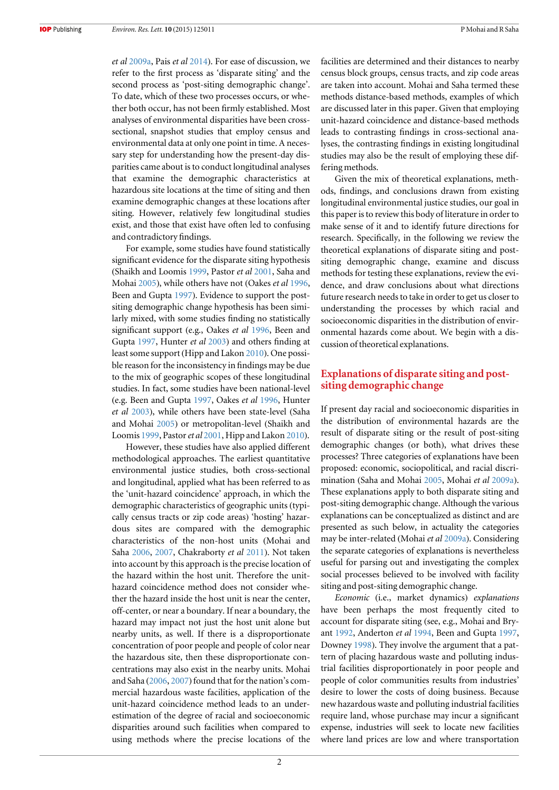et al [2009a,](#page-10-6) Pais et al [2014](#page-10-7)). For ease of discussion, we refer to the first process as 'disparate siting' and the second process as 'post-siting demographic change'. To date, which of these two processes occurs, or whether both occur, has not been firmly established. Most analyses of environmental disparities have been crosssectional, snapshot studies that employ census and environmental data at only one point in time. A necessary step for understanding how the present-day disparities came about is to conduct longitudinal analyses that examine the demographic characteristics at hazardous site locations at the time of siting and then examine demographic changes at these locations after siting. However, relatively few longitudinal studies exist, and those that exist have often led to confusing and contradictory findings.

For example, some studies have found statistically significant evidence for the disparate siting hypothesis (Shaikh and Loomis [1999](#page-10-8), Pastor et al [2001,](#page-10-5) Saha and Mohai [2005](#page-10-9)), while others have not (Oakes et al [1996,](#page-10-4) Been and Gupta [1997](#page-9-2)). Evidence to support the postsiting demographic change hypothesis has been similarly mixed, with some studies finding no statistically significant support (e.g., Oakes et al [1996,](#page-10-4) Been and Gupta [1997,](#page-9-2) Hunter et al [2003](#page-10-10)) and others finding at least some support (Hipp and Lakon [2010](#page-10-11)). One possible reason for the inconsistency in findings may be due to the mix of geographic scopes of these longitudinal studies. In fact, some studies have been national-level (e.g. Been and Gupta [1997](#page-9-2), Oakes et al [1996](#page-10-4), Hunter et al [2003](#page-10-10)), while others have been state-level (Saha and Mohai [2005](#page-10-9)) or metropolitan-level (Shaikh and Loomis [1999,](#page-10-8) Pastor et al [2001](#page-10-5), Hipp and Lakon [2010](#page-10-11)).

However, these studies have also applied different methodological approaches. The earliest quantitative environmental justice studies, both cross-sectional and longitudinal, applied what has been referred to as the 'unit-hazard coincidence' approach, in which the demographic characteristics of geographic units (typically census tracts or zip code areas) 'hosting' hazardous sites are compared with the demographic characteristics of the non-host units (Mohai and Saha [2006,](#page-10-12) [2007](#page-10-13), Chakraborty et al [2011](#page-9-3)). Not taken into account by this approach is the precise location of the hazard within the host unit. Therefore the unithazard coincidence method does not consider whether the hazard inside the host unit is near the center, off-center, or near a boundary. If near a boundary, the hazard may impact not just the host unit alone but nearby units, as well. If there is a disproportionate concentration of poor people and people of color near the hazardous site, then these disproportionate concentrations may also exist in the nearby units. Mohai and Saha ([2006](#page-10-12), [2007](#page-10-13)) found that for the nation's commercial hazardous waste facilities, application of the unit-hazard coincidence method leads to an underestimation of the degree of racial and socioeconomic disparities around such facilities when compared to using methods where the precise locations of the facilities are determined and their distances to nearby census block groups, census tracts, and zip code areas are taken into account. Mohai and Saha termed these methods distance-based methods, examples of which are discussed later in this paper. Given that employing unit-hazard coincidence and distance-based methods leads to contrasting findings in cross-sectional analyses, the contrasting findings in existing longitudinal studies may also be the result of employing these differing methods.

Given the mix of theoretical explanations, methods, findings, and conclusions drawn from existing longitudinal environmental justice studies, our goal in this paper is to review this body of literature in order to make sense of it and to identify future directions for research. Specifically, in the following we review the theoretical explanations of disparate siting and postsiting demographic change, examine and discuss methods for testing these explanations, review the evidence, and draw conclusions about what directions future research needs to take in order to get us closer to understanding the processes by which racial and socioeconomic disparities in the distribution of environmental hazards come about. We begin with a discussion of theoretical explanations.

## Explanations of disparate siting and postsiting demographic change

If present day racial and socioeconomic disparities in the distribution of environmental hazards are the result of disparate siting or the result of post-siting demographic changes (or both), what drives these processes? Three categories of explanations have been proposed: economic, sociopolitical, and racial discrimination (Saha and Mohai [2005,](#page-10-9) Mohai et al [2009a](#page-10-6)). These explanations apply to both disparate siting and post-siting demographic change. Although the various explanations can be conceptualized as distinct and are presented as such below, in actuality the categories may be inter-related (Mohai et al [2009a](#page-10-6)). Considering the separate categories of explanations is nevertheless useful for parsing out and investigating the complex social processes believed to be involved with facility siting and post-siting demographic change.

Economic (i.e., market dynamics) explanations have been perhaps the most frequently cited to account for disparate siting (see, e.g., Mohai and Bryant [1992,](#page-10-0) Anderton et al [1994,](#page-9-4) Been and Gupta [1997](#page-9-2), Downey [1998](#page-9-5)). They involve the argument that a pattern of placing hazardous waste and polluting industrial facilities disproportionately in poor people and people of color communities results from industries' desire to lower the costs of doing business. Because new hazardous waste and polluting industrial facilities require land, whose purchase may incur a significant expense, industries will seek to locate new facilities where land prices are low and where transportation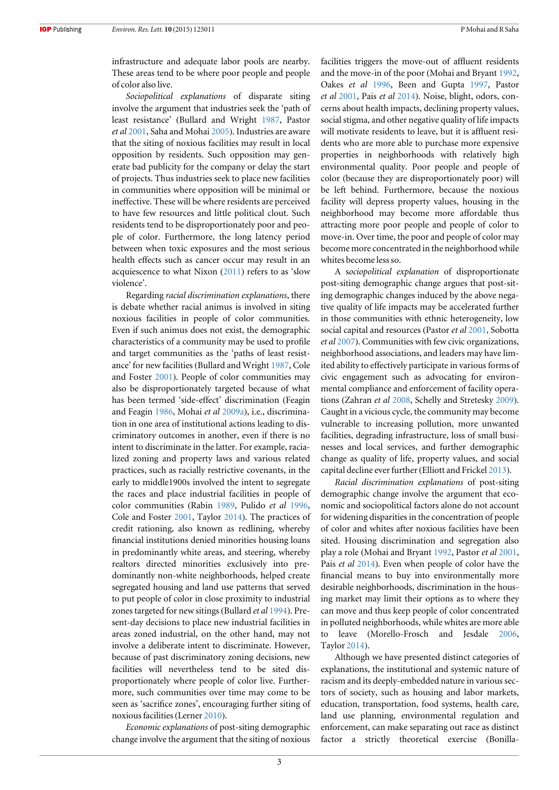infrastructure and adequate labor pools are nearby. These areas tend to be where poor people and people of color also live.

Sociopolitical explanations of disparate siting involve the argument that industries seek the 'path of least resistance' (Bullard and Wright [1987,](#page-9-6) Pastor et al [2001,](#page-10-5) Saha and Mohai [2005](#page-10-9)). Industries are aware that the siting of noxious facilities may result in local opposition by residents. Such opposition may generate bad publicity for the company or delay the start of projects. Thus industries seek to place new facilities in communities where opposition will be minimal or ineffective. These will be where residents are perceived to have few resources and little political clout. Such residents tend to be disproportionately poor and people of color. Furthermore, the long latency period between when toxic exposures and the most serious health effects such as cancer occur may result in an acquiescence to what Nixon ([2011](#page-10-14)) refers to as 'slow violence'.

Regarding racial discrimination explanations, there is debate whether racial animus is involved in siting noxious facilities in people of color communities. Even if such animus does not exist, the demographic characteristics of a community may be used to profile and target communities as the 'paths of least resistance' for new facilities (Bullard and Wright [1987,](#page-9-6) Cole and Foster [2001](#page-9-7)). People of color communities may also be disproportionately targeted because of what has been termed 'side-effect' discrimination (Feagin and Feagin [1986](#page-10-15), Mohai et al [2009a](#page-10-6)), i.e., discrimination in one area of institutional actions leading to discriminatory outcomes in another, even if there is no intent to discriminate in the latter. For example, racialized zoning and property laws and various related practices, such as racially restrictive covenants, in the early to middle1900s involved the intent to segregate the races and place industrial facilities in people of color communities (Rabin [1989](#page-10-16), Pulido et al [1996,](#page-10-17) Cole and Foster [2001,](#page-9-7) Taylor [2014](#page-10-18)). The practices of credit rationing, also known as redlining, whereby financial institutions denied minorities housing loans in predominantly white areas, and steering, whereby realtors directed minorities exclusively into predominantly non-white neighborhoods, helped create segregated housing and land use patterns that served to put people of color in close proximity to industrial zones targeted for new sitings (Bullard et al [1994](#page-9-8)). Present-day decisions to place new industrial facilities in areas zoned industrial, on the other hand, may not involve a deliberate intent to discriminate. However, because of past discriminatory zoning decisions, new facilities will nevertheless tend to be sited disproportionately where people of color live. Furthermore, such communities over time may come to be seen as 'sacrifice zones', encouraging further siting of noxious facilities(Lerner [2010](#page-10-19)).

Economic explanations of post-siting demographic change involve the argument that the siting of noxious facilities triggers the move-out of affluent residents and the move-in of the poor (Mohai and Bryant [1992](#page-10-0), Oakes et al [1996](#page-10-4), Been and Gupta [1997,](#page-9-2) Pastor et al [2001](#page-10-5), Pais et al [2014](#page-10-7)). Noise, blight, odors, concerns about health impacts, declining property values, social stigma, and other negative quality of life impacts will motivate residents to leave, but it is affluent residents who are more able to purchase more expensive properties in neighborhoods with relatively high environmental quality. Poor people and people of color (because they are disproportionately poor) will be left behind. Furthermore, because the noxious facility will depress property values, housing in the neighborhood may become more affordable thus attracting more poor people and people of color to move-in. Over time, the poor and people of color may become more concentrated in the neighborhood while whites become less so.

A sociopolitical explanation of disproportionate post-siting demographic change argues that post-siting demographic changes induced by the above negative quality of life impacts may be accelerated further in those communities with ethnic heterogeneity, low social capital and resources (Pastor et al [2001](#page-10-5), Sobotta et al [2007](#page-10-20)). Communities with few civic organizations, neighborhood associations, and leaders may have limited ability to effectively participate in various forms of civic engagement such as advocating for environmental compliance and enforcement of facility operations (Zahran et al [2008,](#page-10-21) Schelly and Stretesky [2009](#page-10-22)). Caught in a vicious cycle, the community may become vulnerable to increasing pollution, more unwanted facilities, degrading infrastructure, loss of small businesses and local services, and further demographic change as quality of life, property values, and social capital decline ever further(Elliott and Frickel [2013](#page-10-23)).

Racial discrimination explanations of post-siting demographic change involve the argument that economic and sociopolitical factors alone do not account for widening disparities in the concentration of people of color and whites after noxious facilities have been sited. Housing discrimination and segregation also play a role (Mohai and Bryant [1992](#page-10-0), Pastor et al [2001](#page-10-5), Pais et al [2014](#page-10-7)). Even when people of color have the financial means to buy into environmentally more desirable neighborhoods, discrimination in the housing market may limit their options as to where they can move and thus keep people of color concentrated in polluted neighborhoods, while whites are more able to leave (Morello-Frosch and Jesdale [2006](#page-10-24), Taylor [2014](#page-10-18)).

Although we have presented distinct categories of explanations, the institutional and systemic nature of racism and its deeply-embedded nature in various sectors of society, such as housing and labor markets, education, transportation, food systems, health care, land use planning, environmental regulation and enforcement, can make separating out race as distinct factor a strictly theoretical exercise (Bonilla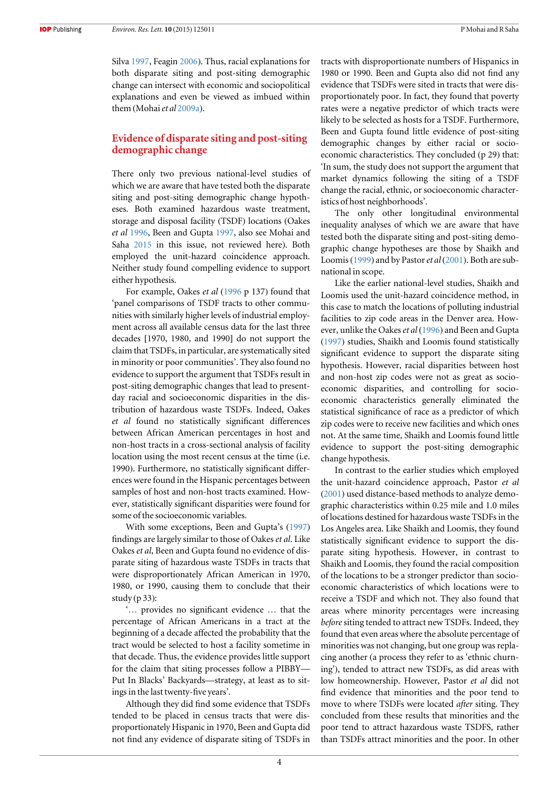Silva [1997,](#page-9-9) Feagin [2006](#page-10-25)). Thus, racial explanations for both disparate siting and post-siting demographic change can intersect with economic and sociopolitical explanations and even be viewed as imbued within them (Mohai et al [2009a](#page-10-6)).

#### Evidence of disparate siting and post-siting demographic change

There only two previous national-level studies of which we are aware that have tested both the disparate siting and post-siting demographic change hypotheses. Both examined hazardous waste treatment, storage and disposal facility (TSDF) locations (Oakes et al [1996](#page-10-4), Been and Gupta [1997,](#page-9-2) also see Mohai and Saha [2015](#page-10-26) in this issue, not reviewed here). Both employed the unit-hazard coincidence approach. Neither study found compelling evidence to support either hypothesis.

For example, Oakes et al ([1996](#page-10-4) p 137) found that 'panel comparisons of TSDF tracts to other communities with similarly higher levels of industrial employment across all available census data for the last three decades [1970, 1980, and 1990] do not support the claim that TSDFs, in particular, are systematically sited in minority or poor communities'. They also found no evidence to support the argument that TSDFs result in post-siting demographic changes that lead to presentday racial and socioeconomic disparities in the distribution of hazardous waste TSDFs. Indeed, Oakes et al found no statistically significant differences between African American percentages in host and non-host tracts in a cross-sectional analysis of facility location using the most recent census at the time (i.e. 1990). Furthermore, no statistically significant differences were found in the Hispanic percentages between samples of host and non-host tracts examined. However, statistically significant disparities were found for some of the socioeconomic variables.

With some exceptions, Been and Gupta's ([1997](#page-9-2)) findings are largely similar to those of Oakes et al. Like Oakes et al, Been and Gupta found no evidence of disparate siting of hazardous waste TSDFs in tracts that were disproportionately African American in 1970, 1980, or 1990, causing them to conclude that their study (p 33):

'... provides no significant evidence ... that the percentage of African Americans in a tract at the beginning of a decade affected the probability that the tract would be selected to host a facility sometime in that decade. Thus, the evidence provides little support for the claim that siting processes follow a PIBBY— Put In Blacks' Backyards—strategy, at least as to sitings in the last twenty-five years'.

Although they did find some evidence that TSDFs tended to be placed in census tracts that were disproportionately Hispanic in 1970, Been and Gupta did not find any evidence of disparate siting of TSDFs in tracts with disproportionate numbers of Hispanics in 1980 or 1990. Been and Gupta also did not find any evidence that TSDFs were sited in tracts that were disproportionately poor. In fact, they found that poverty rates were a negative predictor of which tracts were likely to be selected as hosts for a TSDF. Furthermore, Been and Gupta found little evidence of post-siting demographic changes by either racial or socioeconomic characteristics. They concluded (p 29) that: 'In sum, the study does not support the argument that market dynamics following the siting of a TSDF change the racial, ethnic, or socioeconomic characteristics of host neighborhoods'.

The only other longitudinal environmental inequality analyses of which we are aware that have tested both the disparate siting and post-siting demographic change hypotheses are those by Shaikh and Loomis ([1999](#page-10-8)) and by Pastor et al ([2001](#page-10-5)). Both are subnational in scope.

Like the earlier national-level studies, Shaikh and Loomis used the unit-hazard coincidence method, in this case to match the locations of polluting industrial facilities to zip code areas in the Denver area. How-ever, unlike the Oakes et al ([1996](#page-10-4)) and Been and Gupta ([1997](#page-9-2)) studies, Shaikh and Loomis found statistically significant evidence to support the disparate siting hypothesis. However, racial disparities between host and non-host zip codes were not as great as socioeconomic disparities, and controlling for socioeconomic characteristics generally eliminated the statistical significance of race as a predictor of which zip codes were to receive new facilities and which ones not. At the same time, Shaikh and Loomis found little evidence to support the post-siting demographic change hypothesis.

In contrast to the earlier studies which employed the unit-hazard coincidence approach, Pastor et al ([2001](#page-10-5)) used distance-based methods to analyze demographic characteristics within 0.25 mile and 1.0 miles of locations destined for hazardous waste TSDFs in the Los Angeles area. Like Shaikh and Loomis, they found statistically significant evidence to support the disparate siting hypothesis. However, in contrast to Shaikh and Loomis, they found the racial composition of the locations to be a stronger predictor than socioeconomic characteristics of which locations were to receive a TSDF and which not. They also found that areas where minority percentages were increasing before siting tended to attract new TSDFs. Indeed, they found that even areas where the absolute percentage of minorities was not changing, but one group was replacing another (a process they refer to as 'ethnic churning'), tended to attract new TSDFs, as did areas with low homeownership. However, Pastor et al did not find evidence that minorities and the poor tend to move to where TSDFs were located after siting. They concluded from these results that minorities and the poor tend to attract hazardous waste TSDFS, rather than TSDFs attract minorities and the poor. In other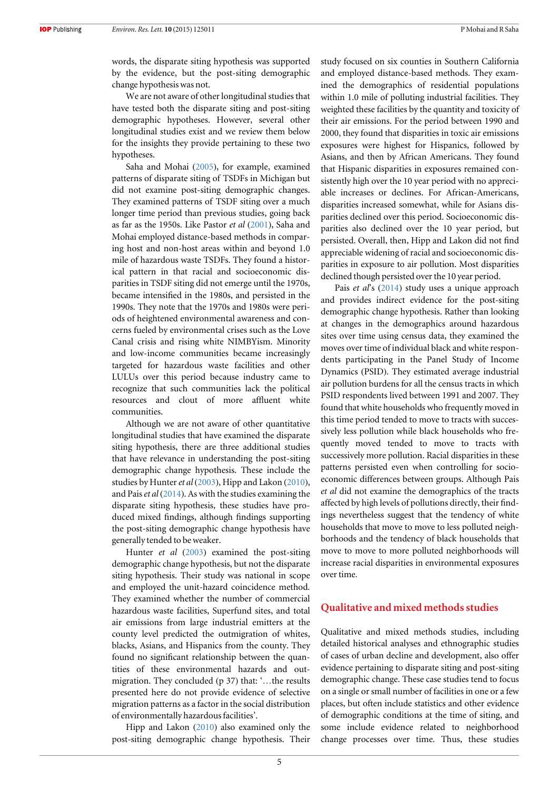words, the disparate siting hypothesis was supported by the evidence, but the post-siting demographic change hypothesis was not.

We are not aware of other longitudinal studies that have tested both the disparate siting and post-siting demographic hypotheses. However, several other longitudinal studies exist and we review them below for the insights they provide pertaining to these two hypotheses.

Saha and Mohai ([2005](#page-10-9)), for example, examined patterns of disparate siting of TSDFs in Michigan but did not examine post-siting demographic changes. They examined patterns of TSDF siting over a much longer time period than previous studies, going back as far as the 1950s. Like Pastor et al ([2001](#page-10-5)), Saha and Mohai employed distance-based methods in comparing host and non-host areas within and beyond 1.0 mile of hazardous waste TSDFs. They found a historical pattern in that racial and socioeconomic disparities in TSDF siting did not emerge until the 1970s, became intensified in the 1980s, and persisted in the 1990s. They note that the 1970s and 1980s were periods of heightened environmental awareness and concerns fueled by environmental crises such as the Love Canal crisis and rising white NIMBYism. Minority and low-income communities became increasingly targeted for hazardous waste facilities and other LULUs over this period because industry came to recognize that such communities lack the political resources and clout of more affluent white communities.

Although we are not aware of other quantitative longitudinal studies that have examined the disparate siting hypothesis, there are three additional studies that have relevance in understanding the post-siting demographic change hypothesis. These include the studies by Hunter et al ([2003](#page-10-10)), Hipp and Lakon ([2010](#page-10-11)), and Pais *et al* ([2014](#page-10-7)). As with the studies examining the disparate siting hypothesis, these studies have produced mixed findings, although findings supporting the post-siting demographic change hypothesis have generally tended to be weaker.

Hunter et al ([2003](#page-10-10)) examined the post-siting demographic change hypothesis, but not the disparate siting hypothesis. Their study was national in scope and employed the unit-hazard coincidence method. They examined whether the number of commercial hazardous waste facilities, Superfund sites, and total air emissions from large industrial emitters at the county level predicted the outmigration of whites, blacks, Asians, and Hispanics from the county. They found no significant relationship between the quantities of these environmental hazards and outmigration. They concluded (p 37) that: '...the results presented here do not provide evidence of selective migration patterns as a factor in the social distribution of environmentally hazardous facilities'.

Hipp and Lakon ([2010](#page-10-11)) also examined only the post-siting demographic change hypothesis. Their study focused on six counties in Southern California and employed distance-based methods. They examined the demographics of residential populations within 1.0 mile of polluting industrial facilities. They weighted these facilities by the quantity and toxicity of their air emissions. For the period between 1990 and 2000, they found that disparities in toxic air emissions exposures were highest for Hispanics, followed by Asians, and then by African Americans. They found that Hispanic disparities in exposures remained consistently high over the 10 year period with no appreciable increases or declines. For African-Americans, disparities increased somewhat, while for Asians disparities declined over this period. Socioeconomic disparities also declined over the 10 year period, but persisted. Overall, then, Hipp and Lakon did not find appreciable widening of racial and socioeconomic disparities in exposure to air pollution. Most disparities declined though persisted over the 10 year period.

Pais et al's ([2014](#page-10-7)) study uses a unique approach and provides indirect evidence for the post-siting demographic change hypothesis. Rather than looking at changes in the demographics around hazardous sites over time using census data, they examined the moves over time of individual black and white respondents participating in the Panel Study of Income Dynamics (PSID). They estimated average industrial air pollution burdens for all the census tracts in which PSID respondents lived between 1991 and 2007. They found that white households who frequently moved in this time period tended to move to tracts with successively less pollution while black households who frequently moved tended to move to tracts with successively more pollution. Racial disparities in these patterns persisted even when controlling for socioeconomic differences between groups. Although Pais et al did not examine the demographics of the tracts affected by high levels of pollutions directly, their findings nevertheless suggest that the tendency of white households that move to move to less polluted neighborhoods and the tendency of black households that move to move to more polluted neighborhoods will increase racial disparities in environmental exposures over time.

#### Qualitative and mixed methods studies

Qualitative and mixed methods studies, including detailed historical analyses and ethnographic studies of cases of urban decline and development, also offer evidence pertaining to disparate siting and post-siting demographic change. These case studies tend to focus on a single or small number of facilities in one or a few places, but often include statistics and other evidence of demographic conditions at the time of siting, and some include evidence related to neighborhood change processes over time. Thus, these studies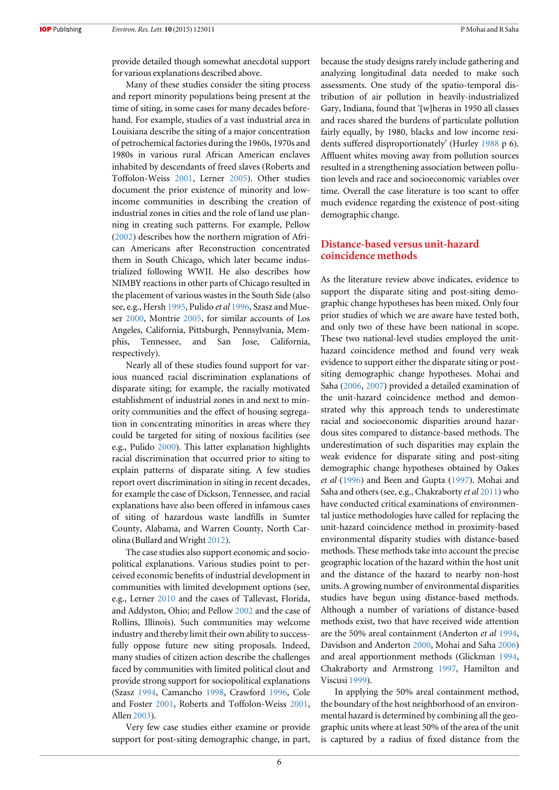provide detailed though somewhat anecdotal support for various explanations described above.

Many of these studies consider the siting process and report minority populations being present at the time of siting, in some cases for many decades beforehand. For example, studies of a vast industrial area in Louisiana describe the siting of a major concentration of petrochemical factories during the 1960s, 1970s and 1980s in various rural African American enclaves inhabited by descendants of freed slaves (Roberts and Toffolon-Weiss [2001](#page-10-27), Lerner [2005](#page-10-28)). Other studies document the prior existence of minority and lowincome communities in describing the creation of industrial zones in cities and the role of land use planning in creating such patterns. For example, Pellow ([2002](#page-10-29)) describes how the northern migration of African Americans after Reconstruction concentrated them in South Chicago, which later became industrialized following WWII. He also describes how NIMBY reactions in other parts of Chicago resulted in the placement of various wastes in the South Side (also see, e.g., Hersh [1995,](#page-10-30) Pulido et al [1996,](#page-10-17) Szasz and Mueser [2000](#page-10-31), Montrie [2005](#page-10-32), for similar accounts of Los Angeles, California, Pittsburgh, Pennsylvania, Memphis, Tennessee, and San Jose, California, respectively).

Nearly all of these studies found support for various nuanced racial discrimination explanations of disparate siting; for example, the racially motivated establishment of industrial zones in and next to minority communities and the effect of housing segregation in concentrating minorities in areas where they could be targeted for siting of noxious facilities (see e.g., Pulido [2000](#page-10-33)). This latter explanation highlights racial discrimination that occurred prior to siting to explain patterns of disparate siting. A few studies report overt discrimination in siting in recent decades, for example the case of Dickson, Tennessee, and racial explanations have also been offered in infamous cases of siting of hazardous waste landfills in Sumter County, Alabama, and Warren County, North Carolina (Bullard and Wright [2012](#page-9-10)).

The case studies also support economic and sociopolitical explanations. Various studies point to perceived economic benefits of industrial development in communities with limited development options (see, e.g., Lerner [2010](#page-10-19) and the cases of Tallevast, Florida, and Addyston, Ohio; and Pellow [2002](#page-10-29) and the case of Rollins, Illinois). Such communities may welcome industry and thereby limit their own ability to successfully oppose future new siting proposals. Indeed, many studies of citizen action describe the challenges faced by communities with limited political clout and provide strong support for sociopolitical explanations (Szasz [1994,](#page-10-34) Camancho [1998](#page-9-11), Crawford [1996,](#page-9-12) Cole and Foster [2001,](#page-9-7) Roberts and Toffolon-Weiss [2001,](#page-10-27) Allen [2003](#page-9-13)).

Very few case studies either examine or provide support for post-siting demographic change, in part, because the study designs rarely include gathering and analyzing longitudinal data needed to make such assessments. One study of the spatio-temporal distribution of air pollution in heavily-industrialized Gary, Indiana, found that '[w]heras in 1950 all classes and races shared the burdens of particulate pollution fairly equally, by 1980, blacks and low income residents suffered disproportionately' (Hurley [1988](#page-10-35) p 6). Affluent whites moving away from pollution sources resulted in a strengthening association between pollution levels and race and socioeconomic variables over time. Overall the case literature is too scant to offer much evidence regarding the existence of post-siting demographic change.

## Distance-based versus unit-hazard coincidence methods

As the literature review above indicates, evidence to support the disparate siting and post-siting demographic change hypotheses has been mixed. Only four prior studies of which we are aware have tested both, and only two of these have been national in scope. These two national-level studies employed the unithazard coincidence method and found very weak evidence to support either the disparate siting or postsiting demographic change hypotheses. Mohai and Saha ([2006,](#page-10-12) [2007](#page-10-13)) provided a detailed examination of the unit-hazard coincidence method and demonstrated why this approach tends to underestimate racial and socioeconomic disparities around hazardous sites compared to distance-based methods. The underestimation of such disparities may explain the weak evidence for disparate siting and post-siting demographic change hypotheses obtained by Oakes et al ([1996](#page-10-4)) and Been and Gupta ([1997](#page-9-2)). Mohai and Saha and others (see, e.g., Chakraborty et al [2011](#page-9-3)) who have conducted critical examinations of environmental justice methodologies have called for replacing the unit-hazard coincidence method in proximity-based environmental disparity studies with distance-based methods. These methods take into account the precise geographic location of the hazard within the host unit and the distance of the hazard to nearby non-host units. A growing number of environmental disparities studies have begun using distance-based methods. Although a number of variations of distance-based methods exist, two that have received wide attention are the 50% areal containment (Anderton et al [1994](#page-9-4), Davidson and Anderton [2000,](#page-9-14) Mohai and Saha [2006](#page-10-12)) and areal apportionment methods (Glickman [1994](#page-10-36), Chakraborty and Armstrong [1997,](#page-9-15) Hamilton and Viscusi [1999](#page-10-37)).

In applying the 50% areal containment method, the boundary of the host neighborhood of an environmental hazard is determined by combining all the geographic units where at least 50% of the area of the unit is captured by a radius of fixed distance from the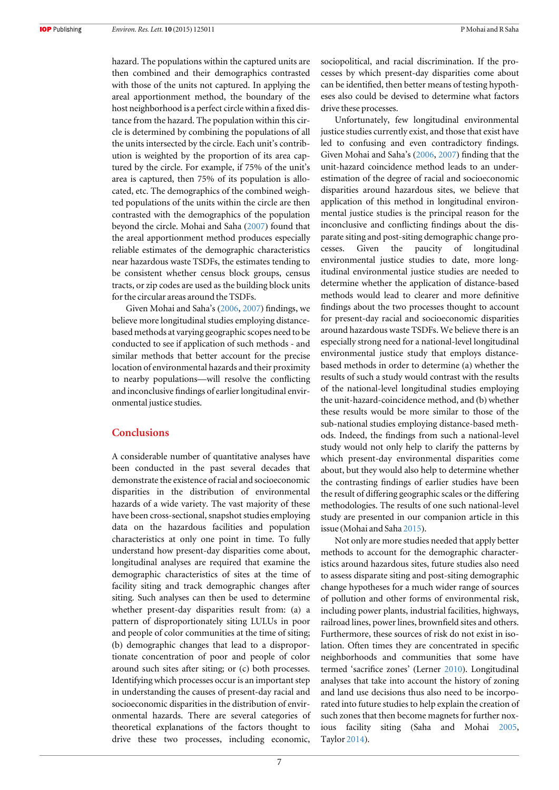hazard. The populations within the captured units are then combined and their demographics contrasted with those of the units not captured. In applying the areal apportionment method, the boundary of the host neighborhood is a perfect circle within a fixed distance from the hazard. The population within this circle is determined by combining the populations of all the units intersected by the circle. Each unit's contribution is weighted by the proportion of its area captured by the circle. For example, if 75% of the unit's area is captured, then 75% of its population is allocated, etc. The demographics of the combined weighted populations of the units within the circle are then contrasted with the demographics of the population beyond the circle. Mohai and Saha ([2007](#page-10-13)) found that the areal apportionment method produces especially reliable estimates of the demographic characteristics near hazardous waste TSDFs, the estimates tending to be consistent whether census block groups, census tracts, or zip codes are used as the building block units for the circular areas around the TSDFs.

Given Mohai and Saha's ([2006,](#page-10-12) [2007](#page-10-13)) findings, we believe more longitudinal studies employing distancebased methods at varying geographic scopes need to be conducted to see if application of such methods - and similar methods that better account for the precise location of environmental hazards and their proximity to nearby populations—will resolve the conflicting and inconclusive findings of earlier longitudinal environmental justice studies.

#### **Conclusions**

A considerable number of quantitative analyses have been conducted in the past several decades that demonstrate the existence of racial and socioeconomic disparities in the distribution of environmental hazards of a wide variety. The vast majority of these have been cross-sectional, snapshot studies employing data on the hazardous facilities and population characteristics at only one point in time. To fully understand how present-day disparities come about, longitudinal analyses are required that examine the demographic characteristics of sites at the time of facility siting and track demographic changes after siting. Such analyses can then be used to determine whether present-day disparities result from: (a) a pattern of disproportionately siting LULUs in poor and people of color communities at the time of siting; (b) demographic changes that lead to a disproportionate concentration of poor and people of color around such sites after siting; or (c) both processes. Identifying which processes occur is an important step in understanding the causes of present-day racial and socioeconomic disparities in the distribution of environmental hazards. There are several categories of theoretical explanations of the factors thought to drive these two processes, including economic,

sociopolitical, and racial discrimination. If the processes by which present-day disparities come about can be identified, then better means of testing hypotheses also could be devised to determine what factors drive these processes.

Unfortunately, few longitudinal environmental justice studies currently exist, and those that exist have led to confusing and even contradictory findings. Given Mohai and Saha's ([2006](#page-10-12), [2007](#page-10-13)) finding that the unit-hazard coincidence method leads to an underestimation of the degree of racial and socioeconomic disparities around hazardous sites, we believe that application of this method in longitudinal environmental justice studies is the principal reason for the inconclusive and conflicting findings about the disparate siting and post-siting demographic change processes. Given the paucity of longitudinal environmental justice studies to date, more longitudinal environmental justice studies are needed to determine whether the application of distance-based methods would lead to clearer and more definitive findings about the two processes thought to account for present-day racial and socioeconomic disparities around hazardous waste TSDFs. We believe there is an especially strong need for a national-level longitudinal environmental justice study that employs distancebased methods in order to determine (a) whether the results of such a study would contrast with the results of the national-level longitudinal studies employing the unit-hazard-coincidence method, and (b) whether these results would be more similar to those of the sub-national studies employing distance-based methods. Indeed, the findings from such a national-level study would not only help to clarify the patterns by which present-day environmental disparities come about, but they would also help to determine whether the contrasting findings of earlier studies have been the result of differing geographic scales or the differing methodologies. The results of one such national-level study are presented in our companion article in this issue (Mohai and Saha [2015](#page-10-26)).

Not only are more studies needed that apply better methods to account for the demographic characteristics around hazardous sites, future studies also need to assess disparate siting and post-siting demographic change hypotheses for a much wider range of sources of pollution and other forms of environmental risk, including power plants, industrial facilities, highways, railroad lines, power lines, brownfield sites and others. Furthermore, these sources of risk do not exist in isolation. Often times they are concentrated in specific neighborhoods and communities that some have termed 'sacrifice zones' (Lerner [2010](#page-10-19)). Longitudinal analyses that take into account the history of zoning and land use decisions thus also need to be incorporated into future studies to help explain the creation of such zones that then become magnets for further noxious facility siting (Saha and Mohai [2005](#page-10-9), Taylor [2014](#page-10-18)).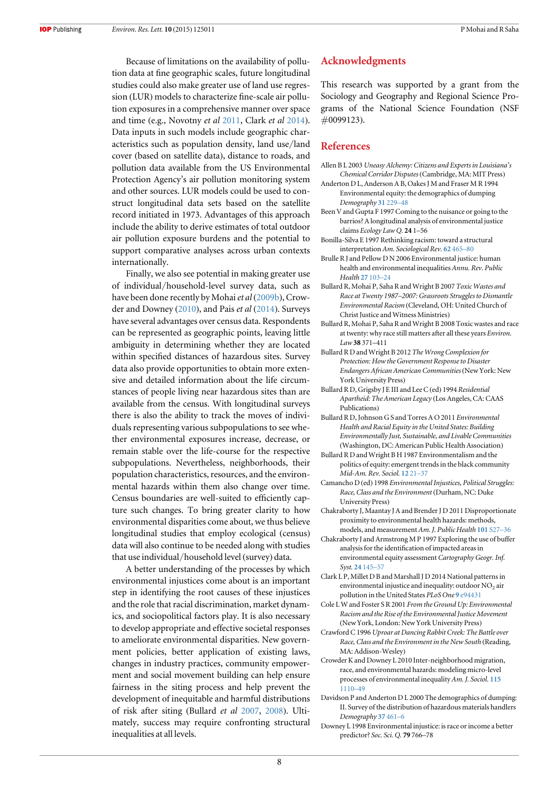Because of limitations on the availability of pollution data at fine geographic scales, future longitudinal studies could also make greater use of land use regression (LUR) models to characterize fine-scale air pollution exposures in a comprehensive manner over space and time (e.g., Novotny et al [2011](#page-10-38), Clark et al [2014](#page-9-16)). Data inputs in such models include geographic characteristics such as population density, land use/land cover (based on satellite data), distance to roads, and pollution data available from the US Environmental Protection Agency's air pollution monitoring system and other sources. LUR models could be used to construct longitudinal data sets based on the satellite record initiated in 1973. Advantages of this approach include the ability to derive estimates of total outdoor air pollution exposure burdens and the potential to support comparative analyses across urban contexts internationally.

Finally, we also see potential in making greater use of individual/household-level survey data, such as have been done recently by Mohai et al ([2009b](#page-10-39)), Crowder and Downey ([2010](#page-9-17)), and Pais et al ([2014](#page-10-7)). Surveys have several advantages over census data. Respondents can be represented as geographic points, leaving little ambiguity in determining whether they are located within specified distances of hazardous sites. Survey data also provide opportunities to obtain more extensive and detailed information about the life circumstances of people living near hazardous sites than are available from the census. With longitudinal surveys there is also the ability to track the moves of individuals representing various subpopulations to see whether environmental exposures increase, decrease, or remain stable over the life-course for the respective subpopulations. Nevertheless, neighborhoods, their population characteristics, resources, and the environmental hazards within them also change over time. Census boundaries are well-suited to efficiently capture such changes. To bring greater clarity to how environmental disparities come about, we thus believe longitudinal studies that employ ecological (census) data will also continue to be needed along with studies that use individual/household level (survey) data.

A better understanding of the processes by which environmental injustices come about is an important step in identifying the root causes of these injustices and the role that racial discrimination, market dynamics, and sociopolitical factors play. It is also necessary to develop appropriate and effective societal responses to ameliorate environmental disparities. New government policies, better application of existing laws, changes in industry practices, community empowerment and social movement building can help ensure fairness in the siting process and help prevent the development of inequitable and harmful distributions of risk after siting (Bullard et al [2007,](#page-9-18) [2008](#page-9-19)). Ultimately, success may require confronting structural inequalities at all levels.

#### Acknowledgments

This research was supported by a grant from the Sociology and Geography and Regional Science Programs of the National Science Foundation (NSF #0099123).

#### References

- <span id="page-9-13"></span>Allen B L 2003 Uneasy Alchemy: Citizens and Experts in Louisiana's Chemical Corridor Disputes (Cambridge, MA: MIT Press)
- <span id="page-9-4"></span>Anderton D L, Anderson A B, Oakes J M and Fraser M R 1994 Environmental equity: the demographics of dumping Demography 31 [229](http://dx.doi.org/10.2307/2061884)–48
- <span id="page-9-2"></span>Been V and Gupta F 1997 Coming to the nuisance or going to the barrios? A longitudinal analysis of environmental justice claims Ecology Law Q. 24 1–56
- <span id="page-9-9"></span>Bonilla-Silva E 1997 Rethinking racism: toward a structural interpretation Am. Sociological Rev. 62 [465](http://dx.doi.org/10.2307/2657316)–80
- <span id="page-9-0"></span>Brulle R J and Pellow D N 2006 Environmental justice: human health and environmental inequalities Annu. Rev. Public Health 27 [103](http://dx.doi.org/10.1146/annurev.publhealth.27.021405.102124)–24
- <span id="page-9-18"></span>Bullard R, Mohai P, Saha R and Wright B 2007 Toxic Wastes and Race at Twenty 1987–2007: Grassroots Struggles to Dismantle Environmental Racism (Cleveland, OH: United Church of Christ Justice and Witness Ministries)
- <span id="page-9-19"></span>Bullard R, Mohai P, Saha R and Wright B 2008 Toxic wastes and race at twenty: why race still matters after all these years Environ. Law38 371–411
- <span id="page-9-10"></span>Bullard R D and Wright B 2012 The Wrong Complexion for Protection: How the Government Response to Disaster Endangers African American Communities (New York: New York University Press)
- <span id="page-9-8"></span>Bullard R D, Grigsby J E III and Lee C (ed) 1994 Residential Apartheid: The American Legacy (Los Angeles, CA: CAAS Publications)
- <span id="page-9-1"></span>Bullard R D, Johnson G S and Torres A O 2011 Environmental Health and Racial Equity in the United States: Building Environmentally Just, Sustainable, and Livable Communities (Washington, DC: American Public Health Association)
- <span id="page-9-6"></span>Bullard R D and Wright B H 1987 Environmentalism and the politics of equity: emergent trends in the black community Mid-Am. Rev. Sociol. [12](http://dx.doi.org/10.17161/STR.1808.5017) 21–37
- <span id="page-9-11"></span>Camancho D (ed) 1998 Environmental Injustices, Political Struggles: Race, Class and the Environment (Durham, NC: Duke University Press)
- <span id="page-9-3"></span>Chakraborty J, Maantay J A and Brender J D 2011 Disproportionate proximity to environmental health hazards: methods, models, and measurement Am. J. Public Health [101](http://dx.doi.org/10.2105/AJPH.2010.300109) S27–36
- <span id="page-9-15"></span>Chakraborty J and Armstrong M P 1997 Exploring the use of buffer analysis for the identification of impacted areas in environmental equity assessment Cartography Geogr. Inf. Syst. 24 [145](http://dx.doi.org/10.1559/152304097782476951)–57
- <span id="page-9-16"></span>Clark L P, Millet D B and Marshall J D 2014 National patterns in environmental injustice and inequality: outdoor  $NO<sub>2</sub>$  air pollution in the United States PLoS One 9 [e94431](http://dx.doi.org/10.1371/journal.pone.0094431)
- <span id="page-9-7"></span>Cole L W and Foster S R 2001 From the Ground Up: Environmental Racism and the Rise of the Environmental Justice Movement (New York, London: New York University Press)
- <span id="page-9-12"></span>Crawford C 1996 Uproar at Dancing Rabbit Creek: The Battle over Race, Class and the Environment in the New South (Reading, MA: Addison-Wesley)
- <span id="page-9-17"></span>Crowder K and Downey L 2010 Inter-neighborhood migration, race, and environmental hazards: modeling micro-level processes of environmental inequality Am. J. Sociol. [115](http://dx.doi.org/10.1086/649576) [1110](http://dx.doi.org/10.1086/649576)–49
- <span id="page-9-14"></span>Davidson P and Anderton D L 2000 The demographics of dumping: II. Survey of the distribution of hazardous materials handlers Demography 37 [461](http://dx.doi.org/10.1353/dem.2000.0002)–6
- <span id="page-9-5"></span>Downey L 1998 Environmental injustice: is race or income a better predictor? Soc. Sci. Q. 79 766–78